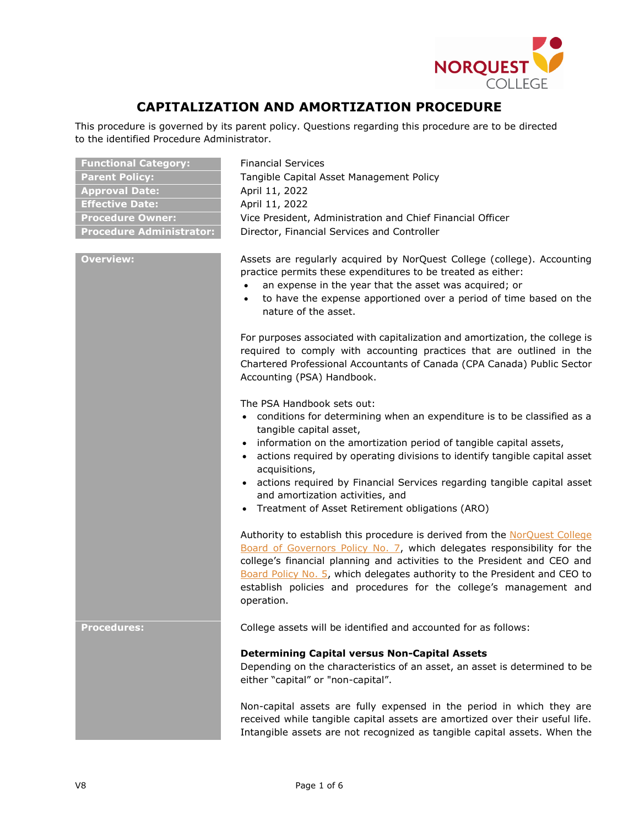

## **CAPITALIZATION AND AMORTIZATION PROCEDURE**

This procedure is governed by its parent policy. Questions regarding this procedure are to be directed to the identified Procedure Administrator.

| <b>Functional Category:</b>     | <b>Financial Services</b>                                                                                                                                                                                                                                                                                                                                                                                                                                                     |  |
|---------------------------------|-------------------------------------------------------------------------------------------------------------------------------------------------------------------------------------------------------------------------------------------------------------------------------------------------------------------------------------------------------------------------------------------------------------------------------------------------------------------------------|--|
| <b>Parent Policy:</b>           | Tangible Capital Asset Management Policy                                                                                                                                                                                                                                                                                                                                                                                                                                      |  |
| <b>Approval Date:</b>           | April 11, 2022                                                                                                                                                                                                                                                                                                                                                                                                                                                                |  |
| <b>Effective Date:</b>          | April 11, 2022                                                                                                                                                                                                                                                                                                                                                                                                                                                                |  |
| <b>Procedure Owner:</b>         | Vice President, Administration and Chief Financial Officer                                                                                                                                                                                                                                                                                                                                                                                                                    |  |
| <b>Procedure Administrator:</b> | Director, Financial Services and Controller                                                                                                                                                                                                                                                                                                                                                                                                                                   |  |
| <b>Overview:</b>                | Assets are regularly acquired by NorQuest College (college). Accounting<br>practice permits these expenditures to be treated as either:<br>an expense in the year that the asset was acquired; or<br>$\bullet$<br>to have the expense apportioned over a period of time based on the<br>nature of the asset.<br>For purposes associated with capitalization and amortization, the college is<br>required to comply with accounting practices that are outlined in the         |  |
|                                 | Chartered Professional Accountants of Canada (CPA Canada) Public Sector<br>Accounting (PSA) Handbook.                                                                                                                                                                                                                                                                                                                                                                         |  |
|                                 | The PSA Handbook sets out:<br>• conditions for determining when an expenditure is to be classified as a<br>tangible capital asset,<br>• information on the amortization period of tangible capital assets,<br>actions required by operating divisions to identify tangible capital asset<br>acquisitions,<br>actions required by Financial Services regarding tangible capital asset<br>and amortization activities, and<br>• Treatment of Asset Retirement obligations (ARO) |  |
|                                 | Authority to establish this procedure is derived from the NorQuest College<br>Board of Governors Policy No. 7, which delegates responsibility for the<br>college's financial planning and activities to the President and CEO and<br>Board Policy No. 5, which delegates authority to the President and CEO to<br>establish policies and procedures for the college's management and<br>operation.                                                                            |  |
| <b>Procedures:</b>              | College assets will be identified and accounted for as follows:                                                                                                                                                                                                                                                                                                                                                                                                               |  |
|                                 | <b>Determining Capital versus Non-Capital Assets</b><br>Depending on the characteristics of an asset, an asset is determined to be<br>either "capital" or "non-capital".                                                                                                                                                                                                                                                                                                      |  |
|                                 | Non-capital assets are fully expensed in the period in which they are<br>received while tangible capital assets are amortized over their useful life.<br>Intangible assets are not recognized as tangible capital assets. When the                                                                                                                                                                                                                                            |  |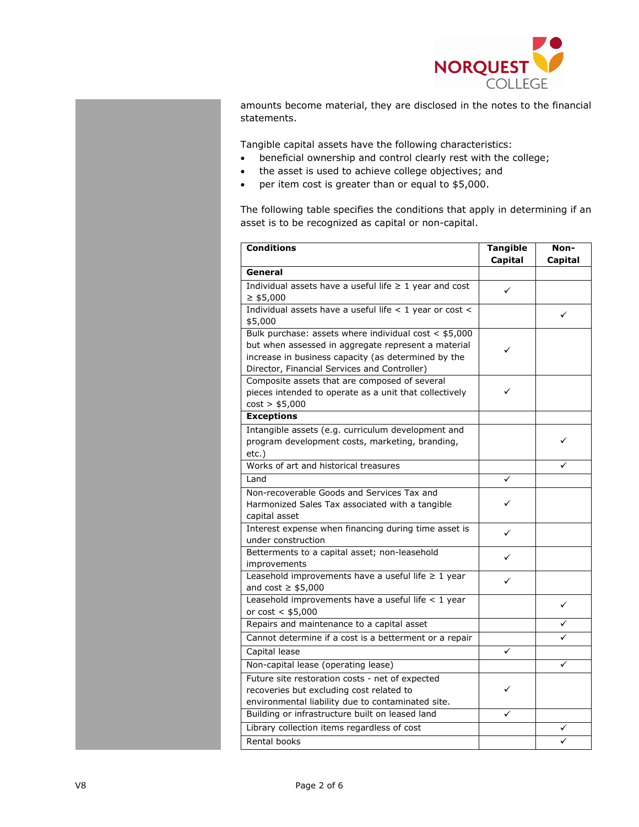

amounts become material, they are disclosed in the notes to the financial statements.

Tangible capital assets have the following characteristics:

- beneficial ownership and control clearly rest with the college;
- the asset is used to achieve college objectives; and
- per item cost is greater than or equal to \$5,000.

The following table specifies the conditions that apply in determining if an asset is to be recognized as capital or non-capital.

| <b>Conditions</b>                                                                  | <b>Tangible</b> | Non-           |
|------------------------------------------------------------------------------------|-----------------|----------------|
|                                                                                    | <b>Capital</b>  | <b>Capital</b> |
| General                                                                            |                 |                |
| Individual assets have a useful life $\geq 1$ year and cost                        | ✓               |                |
| $\geq$ \$5,000                                                                     |                 |                |
| Individual assets have a useful life < 1 year or cost <                            |                 | ✓              |
| \$5,000                                                                            |                 |                |
| Bulk purchase: assets where individual cost $<$ \$5,000                            |                 |                |
| but when assessed in aggregate represent a material                                | ✓               |                |
| increase in business capacity (as determined by the                                |                 |                |
| Director, Financial Services and Controller)                                       |                 |                |
| Composite assets that are composed of several                                      |                 |                |
| pieces intended to operate as a unit that collectively                             | ✓               |                |
| cost > \$5,000                                                                     |                 |                |
| <b>Exceptions</b>                                                                  |                 |                |
| Intangible assets (e.g. curriculum development and                                 |                 |                |
| program development costs, marketing, branding,                                    |                 |                |
| etc.)                                                                              |                 |                |
| Works of art and historical treasures                                              |                 |                |
| Land                                                                               | ✓               |                |
| Non-recoverable Goods and Services Tax and                                         |                 |                |
| Harmonized Sales Tax associated with a tangible                                    | ✓               |                |
| capital asset                                                                      |                 |                |
| Interest expense when financing during time asset is                               | ✓               |                |
| under construction                                                                 |                 |                |
| Betterments to a capital asset; non-leasehold                                      | ✓               |                |
| improvements                                                                       |                 |                |
| Leasehold improvements have a useful life $\geq 1$ year<br>and cost $\geq$ \$5,000 | ✓               |                |
| Leasehold improvements have a useful life $<$ 1 year                               |                 |                |
| or $cost < $5,000$                                                                 |                 | ✓              |
| Repairs and maintenance to a capital asset                                         |                 |                |
| Cannot determine if a cost is a betterment or a repair                             |                 |                |
| Capital lease                                                                      | ✓               |                |
| Non-capital lease (operating lease)                                                |                 | ✓              |
| Future site restoration costs - net of expected                                    |                 |                |
| recoveries but excluding cost related to                                           | ✓               |                |
| environmental liability due to contaminated site.                                  |                 |                |
| Building or infrastructure built on leased land                                    | ✓               |                |
| Library collection items regardless of cost                                        |                 |                |
| Rental books                                                                       |                 |                |
|                                                                                    |                 |                |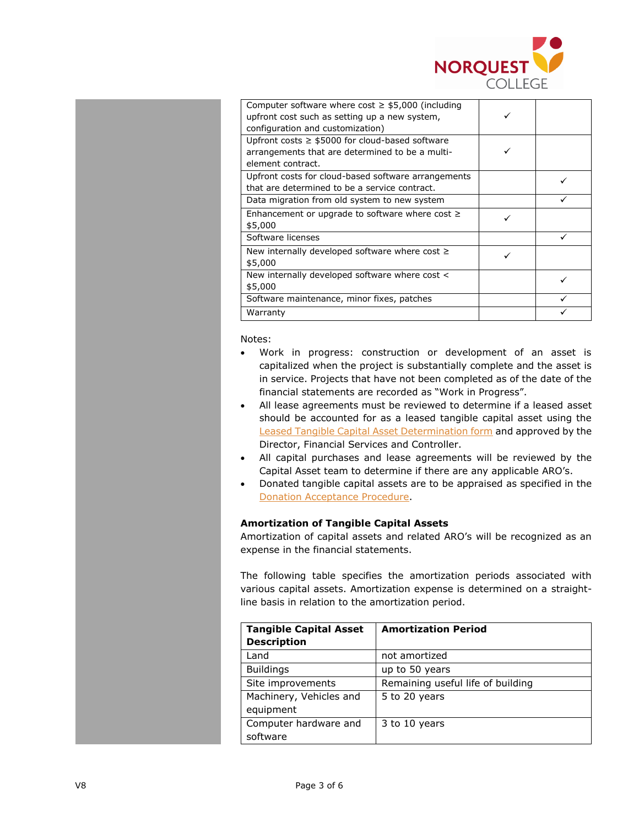

| Computer software where cost $\geq$ \$5,000 (including<br>upfront cost such as setting up a new system,<br>configuration and customization) |  |
|---------------------------------------------------------------------------------------------------------------------------------------------|--|
| Upfront costs $\geq$ \$5000 for cloud-based software<br>arrangements that are determined to be a multi-<br>element contract.                |  |
| Upfront costs for cloud-based software arrangements<br>that are determined to be a service contract.                                        |  |
| Data migration from old system to new system                                                                                                |  |
| Enhancement or upgrade to software where cost $\geq$<br>\$5,000                                                                             |  |
| Software licenses                                                                                                                           |  |
| New internally developed software where cost $\geq$<br>\$5,000                                                                              |  |
| New internally developed software where cost <<br>\$5,000                                                                                   |  |
| Software maintenance, minor fixes, patches                                                                                                  |  |
| Warranty                                                                                                                                    |  |

Notes:

- Work in progress: construction or development of an asset is capitalized when the project is substantially complete and the asset is in service. Projects that have not been completed as of the date of the financial statements are recorded as "Work in Progress".
- All lease agreements must be reviewed to determine if a leased asset should be accounted for as a leased tangible capital asset using the [Leased Tangible Capital Asset Determination form](http://theq.norquest.ca/Departments/IPBMFS/Public-Documents/Forms/Leased-Tangible-Capital-Asset-Determination-form.aspx) and approved by the Director, Financial Services and Controller.
- All capital purchases and lease agreements will be reviewed by the Capital Asset team to determine if there are any applicable ARO's.
- Donated tangible capital assets are to be appraised as specified in the [Donation Acceptance Procedure.](https://www.norquest.ca/about-us/policies-procedures/operations/donation-policy/donation-acceptance-procedure.aspx)

## **Amortization of Tangible Capital Assets**

Amortization of capital assets and related ARO's will be recognized as an expense in the financial statements.

The following table specifies the amortization periods associated with various capital assets. Amortization expense is determined on a straightline basis in relation to the amortization period.

| <b>Tangible Capital Asset</b> | <b>Amortization Period</b>        |
|-------------------------------|-----------------------------------|
| <b>Description</b>            |                                   |
| Land                          | not amortized                     |
| <b>Buildings</b>              | up to 50 years                    |
| Site improvements             | Remaining useful life of building |
| Machinery, Vehicles and       | 5 to 20 years                     |
| equipment                     |                                   |
| Computer hardware and         | 3 to 10 years                     |
| software                      |                                   |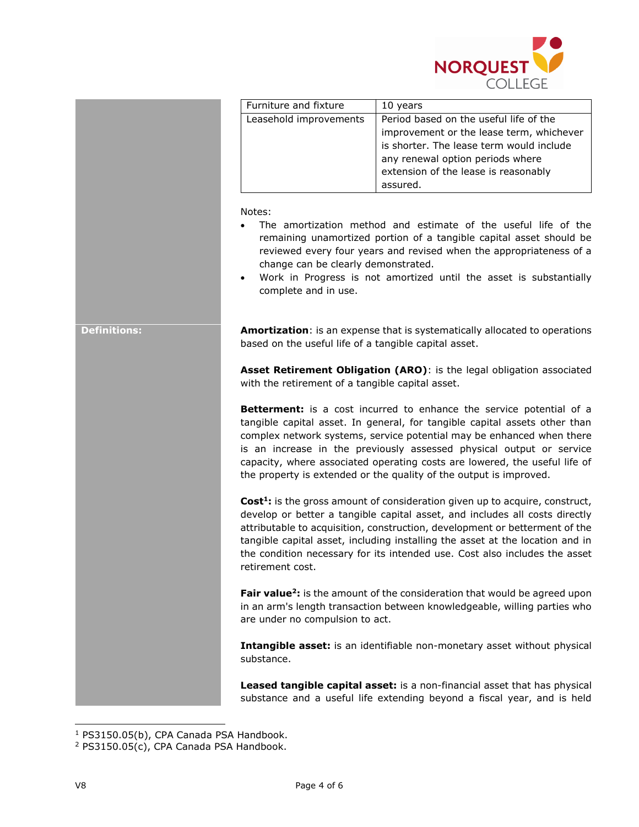

|                     | Furniture and fixture                                                 | 10 years                                                                                                                                                                                                                                                                                                                                                                                                                                                       |
|---------------------|-----------------------------------------------------------------------|----------------------------------------------------------------------------------------------------------------------------------------------------------------------------------------------------------------------------------------------------------------------------------------------------------------------------------------------------------------------------------------------------------------------------------------------------------------|
|                     | Leasehold improvements                                                | Period based on the useful life of the                                                                                                                                                                                                                                                                                                                                                                                                                         |
|                     |                                                                       | improvement or the lease term, whichever                                                                                                                                                                                                                                                                                                                                                                                                                       |
|                     |                                                                       | is shorter. The lease term would include                                                                                                                                                                                                                                                                                                                                                                                                                       |
|                     |                                                                       | any renewal option periods where                                                                                                                                                                                                                                                                                                                                                                                                                               |
|                     |                                                                       | extension of the lease is reasonably                                                                                                                                                                                                                                                                                                                                                                                                                           |
|                     |                                                                       | assured.                                                                                                                                                                                                                                                                                                                                                                                                                                                       |
|                     | Notes:<br>change can be clearly demonstrated.<br>complete and in use. | The amortization method and estimate of the useful life of the<br>remaining unamortized portion of a tangible capital asset should be<br>reviewed every four years and revised when the appropriateness of a<br>Work in Progress is not amortized until the asset is substantially                                                                                                                                                                             |
| <b>Definitions:</b> | based on the useful life of a tangible capital asset.                 | Amortization: is an expense that is systematically allocated to operations                                                                                                                                                                                                                                                                                                                                                                                     |
|                     | with the retirement of a tangible capital asset.                      | Asset Retirement Obligation (ARO): is the legal obligation associated                                                                                                                                                                                                                                                                                                                                                                                          |
|                     |                                                                       | <b>Betterment:</b> is a cost incurred to enhance the service potential of a<br>tangible capital asset. In general, for tangible capital assets other than<br>complex network systems, service potential may be enhanced when there<br>is an increase in the previously assessed physical output or service<br>capacity, where associated operating costs are lowered, the useful life of<br>the property is extended or the quality of the output is improved. |
|                     | retirement cost.                                                      | <b>Cost<sup>1</sup></b> : is the gross amount of consideration given up to acquire, construct,<br>develop or better a tangible capital asset, and includes all costs directly<br>attributable to acquisition, construction, development or betterment of the<br>tangible capital asset, including installing the asset at the location and in<br>the condition necessary for its intended use. Cost also includes the asset                                    |
|                     | are under no compulsion to act.                                       | Fair value <sup>2</sup> : is the amount of the consideration that would be agreed upon<br>in an arm's length transaction between knowledgeable, willing parties who                                                                                                                                                                                                                                                                                            |
|                     | substance.                                                            | Intangible asset: is an identifiable non-monetary asset without physical                                                                                                                                                                                                                                                                                                                                                                                       |
|                     |                                                                       | Leased tangible capital asset: is a non-financial asset that has physical<br>substance and a useful life extending beyond a fiscal year, and is held                                                                                                                                                                                                                                                                                                           |

<sup>&</sup>lt;sup>1</sup> PS3150.05(b), CPA Canada PSA Handbook.

j

<sup>2</sup> PS3150.05(c), CPA Canada PSA Handbook.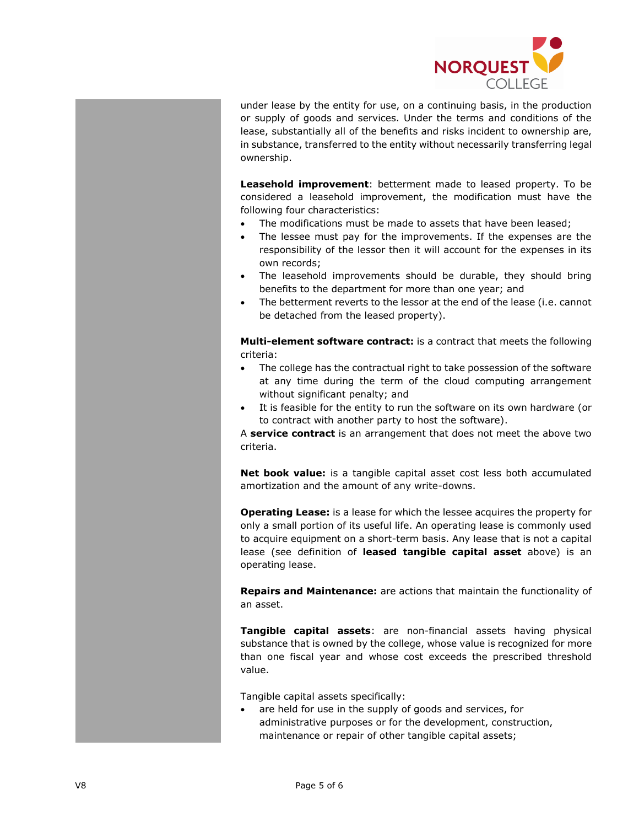

under lease by the entity for use, on a continuing basis, in the production or supply of goods and services. Under the terms and conditions of the lease, substantially all of the benefits and risks incident to ownership are, in substance, transferred to the entity without necessarily transferring legal ownership.

**Leasehold improvement**: betterment made to leased property. To be considered a leasehold improvement, the modification must have the following four characteristics:

- The modifications must be made to assets that have been leased;
- The lessee must pay for the improvements. If the expenses are the responsibility of the lessor then it will account for the expenses in its own records;
- The leasehold improvements should be durable, they should bring benefits to the department for more than one year; and
- The betterment reverts to the lessor at the end of the lease (i.e. cannot be detached from the leased property).

**Multi-element software contract:** is a contract that meets the following criteria:

- The college has the contractual right to take possession of the software at any time during the term of the cloud computing arrangement without significant penalty; and
- It is feasible for the entity to run the software on its own hardware (or to contract with another party to host the software).

A **service contract** is an arrangement that does not meet the above two criteria.

**Net book value:** is a tangible capital asset cost less both accumulated amortization and the amount of any write-downs.

**Operating Lease:** is a lease for which the lessee acquires the property for only a small portion of its useful life. An operating lease is commonly used to acquire equipment on a short-term basis. Any lease that is not a capital lease (see definition of **leased tangible capital asset** above) is an operating lease.

**Repairs and Maintenance:** are actions that maintain the functionality of an asset.

**Tangible capital assets**: are non-financial assets having physical substance that is owned by the college, whose value is recognized for more than one fiscal year and whose cost exceeds the prescribed threshold value.

Tangible capital assets specifically:

are held for use in the supply of goods and services, for administrative purposes or for the development, construction, maintenance or repair of other tangible capital assets;